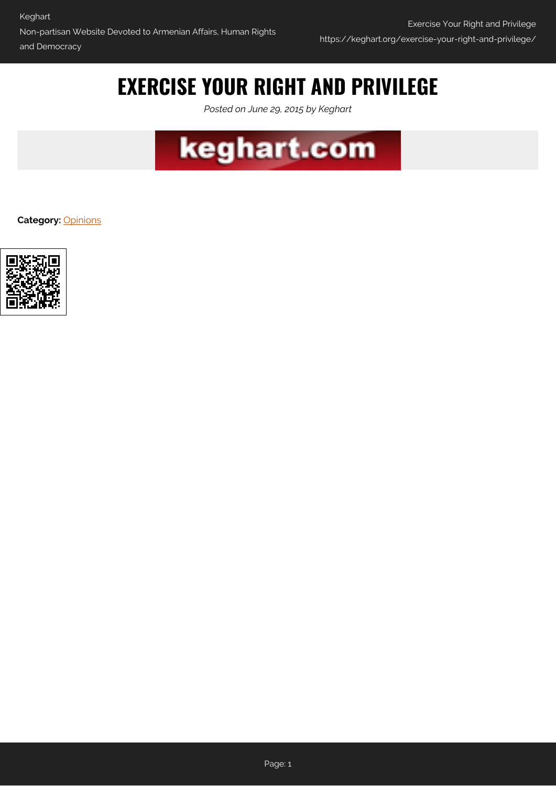# **EXERCISE YOUR RIGHT AND PRIVILEGE**

*Posted on June 29, 2015 by Keghart*



**Category:** [Opinions](https://keghart.org/category/opinions/)

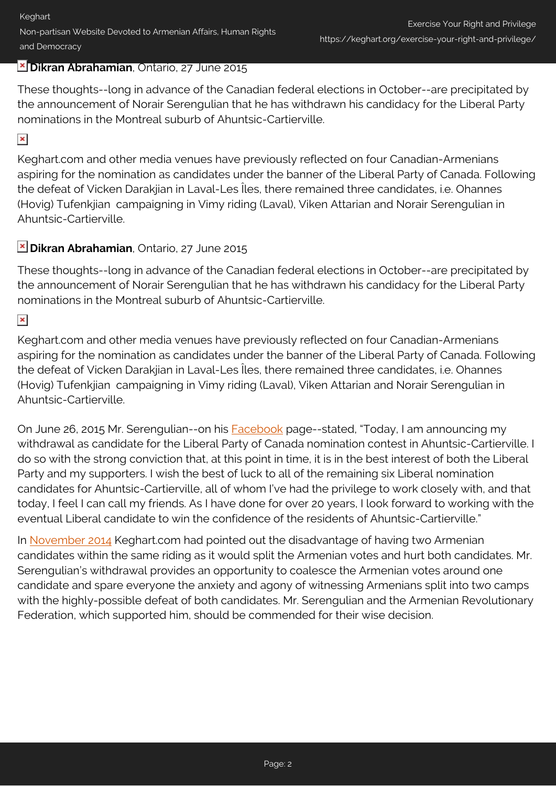## **Dikran Abrahamian**, Ontario, 27 June 2015

These thoughts--long in advance of the Canadian federal elections in October--are precipitated by the announcement of Norair Serengulian that he has withdrawn his candidacy for the Liberal Party nominations in the Montreal suburb of Ahuntsic-Cartierville.

#### $\pmb{\times}$

Keghart.com and other media venues have previously reflected on four Canadian-Armenians aspiring for the nomination as candidates under the banner of the Liberal Party of Canada. Following the defeat of Vicken Darakjian in Laval-Les Îles, there remained three candidates, i.e. Ohannes (Hovig) Tufenkjian campaigning in Vimy riding (Laval), Viken Attarian and Norair Serengulian in Ahuntsic-Cartierville.

## **Dikran Abrahamian**, Ontario, 27 June 2015

These thoughts--long in advance of the Canadian federal elections in October--are precipitated by the announcement of Norair Serengulian that he has withdrawn his candidacy for the Liberal Party nominations in the Montreal suburb of Ahuntsic-Cartierville.

#### $\pmb{\times}$

Keghart.com and other media venues have previously reflected on four Canadian-Armenians aspiring for the nomination as candidates under the banner of the Liberal Party of Canada. Following the defeat of Vicken Darakjian in Laval-Les Îles, there remained three candidates, i.e. Ohannes (Hovig) Tufenkjian campaigning in Vimy riding (Laval), Viken Attarian and Norair Serengulian in Ahuntsic-Cartierville.

On June 26, 2015 Mr. Serengulian--on his **[Facebook](https://www.facebook.com/Norair2015)** page--stated, "Today, I am announcing my withdrawal as candidate for the Liberal Party of Canada nomination contest in Ahuntsic-Cartierville. I do so with the strong conviction that, at this point in time, it is in the best interest of both the Liberal Party and my supporters. I wish the best of luck to all of the remaining six Liberal nomination candidates for Ahuntsic-Cartierville, all of whom I've had the privilege to work closely with, and that today, I feel I can call my friends. As I have done for over 20 years, I look forward to working with the eventual Liberal candidate to win the confidence of the residents of Ahuntsic-Cartierville."

In [November 2014](http://www.keghart.com/Report-Q-Nomination) Keghart.com had pointed out the disadvantage of having two Armenian candidates within the same riding as it would split the Armenian votes and hurt both candidates. Mr. Serengulian's withdrawal provides an opportunity to coalesce the Armenian votes around one candidate and spare everyone the anxiety and agony of witnessing Armenians split into two camps with the highly-possible defeat of both candidates. Mr. Serengulian and the Armenian Revolutionary Federation, which supported him, should be commended for their wise decision.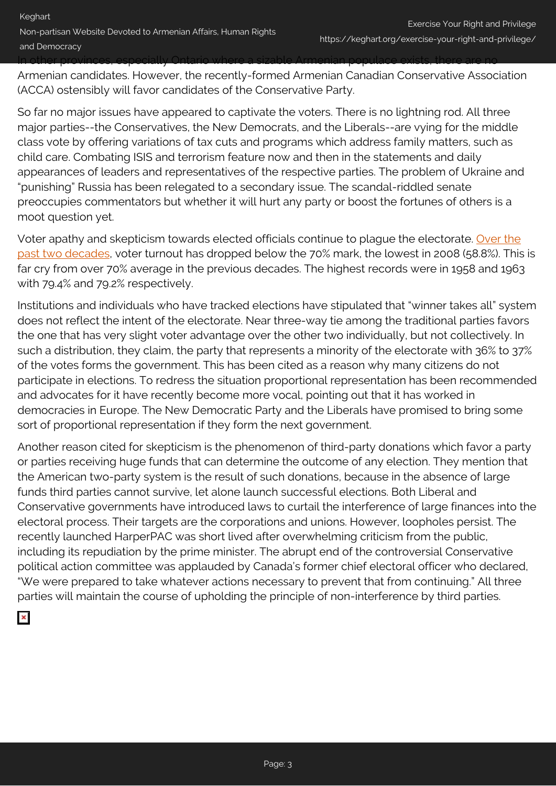Armenian candidates. However, the recently-formed Armenian Canadian Conservative Association (ACCA) ostensibly will favor candidates of the Conservative Party.

So far no major issues have appeared to captivate the voters. There is no lightning rod. All three major parties--the Conservatives, the New Democrats, and the Liberals--are vying for the middle class vote by offering variations of tax cuts and programs which address family matters, such as child care. Combating ISIS and terrorism feature now and then in the statements and daily appearances of leaders and representatives of the respective parties. The problem of Ukraine and "punishing" Russia has been relegated to a secondary issue. The scandal-riddled senate preoccupies commentators but whether it will hurt any party or boost the fortunes of others is a moot question yet.

Voter apathy and skepticism towards elected officials continue to plague the electorate. [Over the](http://www.elections.ca/content.aspx?section=ele&dir=turn&document=index&lang=e) [past two decades,](http://www.elections.ca/content.aspx?section=ele&dir=turn&document=index&lang=e) voter turnout has dropped below the 70% mark, the lowest in 2008 (58.8%). This is far cry from over 70% average in the previous decades. The highest records were in 1958 and 1963 with 79.4% and 79.2% respectively.

Institutions and individuals who have tracked elections have stipulated that "winner takes all" system does not reflect the intent of the electorate. Near three-way tie among the traditional parties favors the one that has very slight voter advantage over the other two individually, but not collectively. In such a distribution, they claim, the party that represents a minority of the electorate with 36% to 37% of the votes forms the government. This has been cited as a reason why many citizens do not participate in elections. To redress the situation proportional representation has been recommended and advocates for it have recently become more vocal, pointing out that it has worked in democracies in Europe. The New Democratic Party and the Liberals have promised to bring some sort of proportional representation if they form the next government.

Another reason cited for skepticism is the phenomenon of third-party donations which favor a party or parties receiving huge funds that can determine the outcome of any election. They mention that the American two-party system is the result of such donations, because in the absence of large funds third parties cannot survive, let alone launch successful elections. Both Liberal and Conservative governments have introduced laws to curtail the interference of large finances into the electoral process. Their targets are the corporations and unions. However, loopholes persist. The recently launched HarperPAC was short lived after overwhelming criticism from the public, including its repudiation by the prime minister. The abrupt end of the controversial Conservative political action committee was applauded by Canada's former chief electoral officer who declared, "We were prepared to take whatever actions necessary to prevent that from continuing." All three parties will maintain the course of upholding the principle of non-interference by third parties.

 $\pmb{\times}$